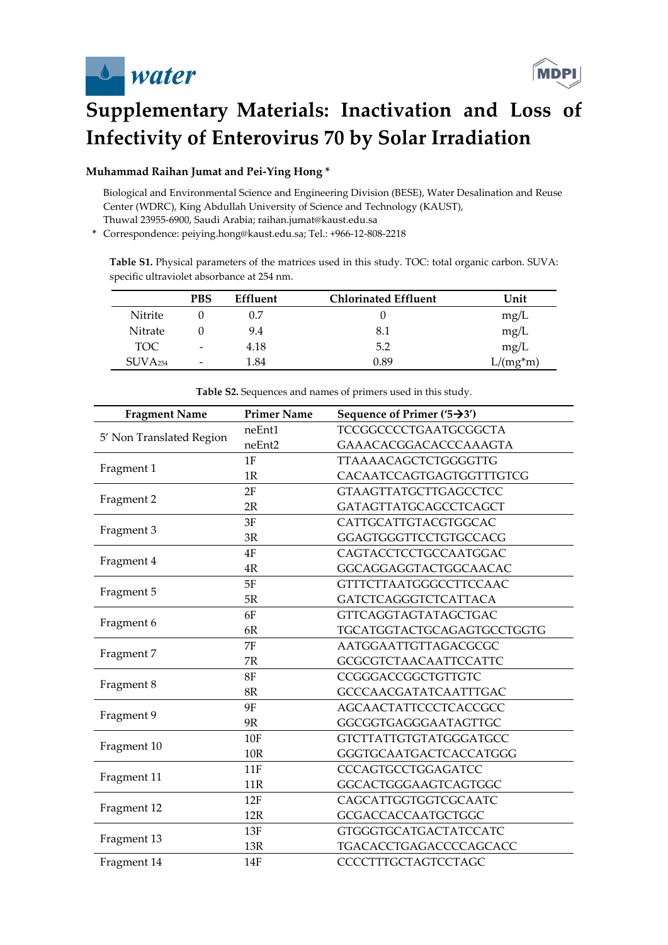



## **Supplementary Materials: Inactivation and Loss of Infectivity of Enterovirus 70 by Solar Irradiation**

## **Muhammad Raihan Jumat and Pei-Ying Hong \***

 Biological and Environmental Science and Engineering Division (BESE), Water Desalination and Reuse Center (WDRC), King Abdullah University of Science and Technology (KAUST), Thuwal 23955-6900, Saudi Arabia; raihan.jumat@kaust.edu.sa

**\*** Correspondence: peiying.hong@kaust.edu.sa; Tel.: +966-12-808-2218

**Table S1.** Physical parameters of the matrices used in this study. TOC: total organic carbon. SUVA: specific ultraviolet absorbance at 254 nm.

|                  | <b>PBS</b>               | <b>Effluent</b> | <b>Chlorinated Effluent</b> | Unit       |
|------------------|--------------------------|-----------------|-----------------------------|------------|
| <b>Nitrite</b>   |                          | 0.7             |                             | mg/L       |
| Nitrate          |                          | 9.4             | 8.1                         | mg/L       |
| TOC.             | $\overline{\phantom{0}}$ | 4.18            | 5.2                         | mg/L       |
| $\rm SUVA_{254}$ | $\overline{\phantom{0}}$ | 1.84            | 0.89                        | $L/(mg*m)$ |

| <b>Fragment Name</b>     | <b>Primer Name</b> | Sequence of Primer ( $\left(5 \rightarrow 3'\right)$ ) |
|--------------------------|--------------------|--------------------------------------------------------|
|                          | neEnt1             | TCCGGCCCCTGAATGCGGCTA                                  |
| 5' Non Translated Region | neEnt2             | GAAACACGGACACCCAAAGTA                                  |
|                          | 1F                 | TTAAAACAGCTCTGGGGTTG                                   |
| Fragment 1               | 1R                 | CACAATCCAGTGAGTGGTTTGTCG                               |
|                          | 2F                 | <b>GTAAGTTATGCTTGAGCCTCC</b>                           |
| Fragment 2               | 2R                 | <b>GATAGTTATGCAGCCTCAGCT</b>                           |
|                          | 3F                 | CATTGCATTGTACGTGGCAC                                   |
| Fragment 3               | 3R                 | GGAGTGGGTTCCTGTGCCACG                                  |
|                          | 4F                 | CAGTACCTCCTGCCAATGGAC                                  |
| Fragment 4               | 4R                 | GGCAGGAGGTACTGGCAACAC                                  |
|                          | 5F                 | <b>GTTTCTTAATGGGCCTTCCAAC</b>                          |
| Fragment 5               | 5R                 | <b>GATCTCAGGGTCTCATTACA</b>                            |
|                          | 6F                 | <b>GTTCAGGTAGTATAGCTGAC</b>                            |
| Fragment 6               | 6R                 | TGCATGGTACTGCAGAGTGCCTGGTG                             |
|                          | 7F                 | AATGGAATTGTTAGACGCGC                                   |
| Fragment 7               | 7R                 | <b>GCGCGTCTAACAATTCCATTC</b>                           |
|                          | 8F                 | CCGGGACCGGCTGTTGTC                                     |
| Fragment 8               | 8R                 | GCCCAACGATATCAATTTGAC                                  |
|                          | 9F                 | <b>AGCAACTATTCCCTCACCGCC</b>                           |
| Fragment 9               | 9R                 | GGCGGTGAGGGAATAGTTGC                                   |
|                          | 10F                | <b>GTCTTATTGTGTATGGGATGCC</b>                          |
| Fragment 10              | <b>10R</b>         | GGGTGCAATGACTCACCATGGG                                 |
|                          | 11F                | CCCAGTGCCTGGAGATCC                                     |
| Fragment 11              | 11R                | GGCACTGGGAAGTCAGTGGC                                   |
|                          | 12F                | CAGCATTGGTGGTCGCAATC                                   |
| Fragment 12              | 12R                | <b>GCGACCACCAATGCTGGC</b>                              |
|                          | 13F                | <b>GTGGGTGCATGACTATCCATC</b>                           |
| Fragment 13              | 13R                | TGACACCTGAGACCCCAGCACC                                 |
| Fragment 14              | <b>14F</b>         | CCCCTTTGCTAGTCCTAGC                                    |

**Table S2.** Sequences and names of primers used in this study.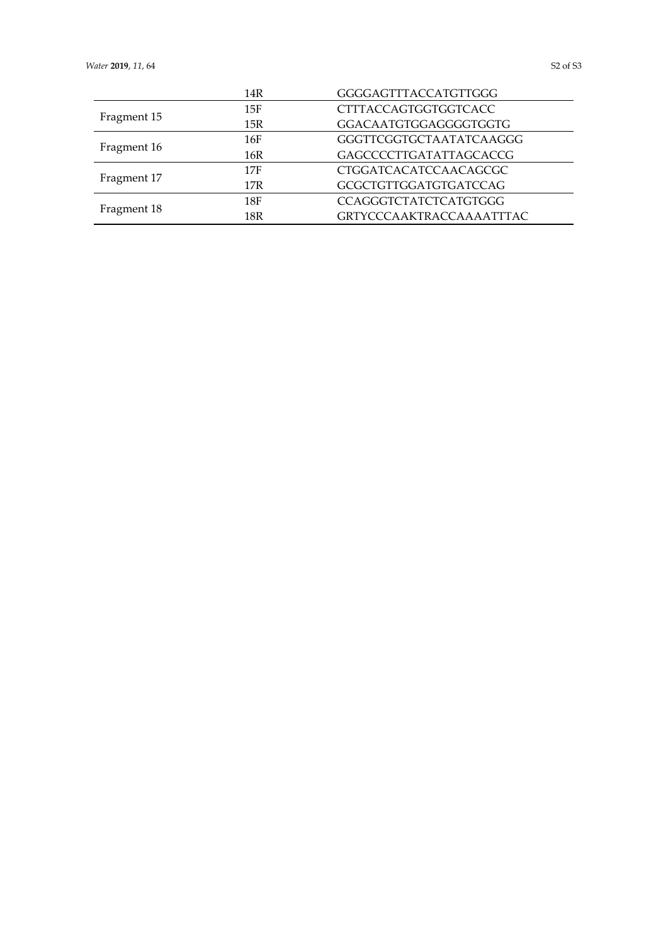|             | 14R             | GGGGAGTTTACCATGTTGGG            |
|-------------|-----------------|---------------------------------|
|             | 15F             | CTTTACCAGTGGTGGTCACC            |
| Fragment 15 | 15R             | GGACAATGTGGAGGGGTGGTG           |
|             | 16F             | <b>GGGTTCGGTGCTAATATCAAGGG</b>  |
| Fragment 16 | 16R             | GAGCCCCTTGATATTAGCACCG          |
|             | 17F             | CTGGATCACATCCAACAGCGC           |
| Fragment 17 | 17R             | <b>GCGCTGTTGGATGTGATCCAG</b>    |
|             | 18F             | <b>CCAGGGTCTATCTCATGTGGG</b>    |
| Fragment 18 | 18 <sub>R</sub> | <b>GRTYCCCAAKTRACCAAAATTTAC</b> |